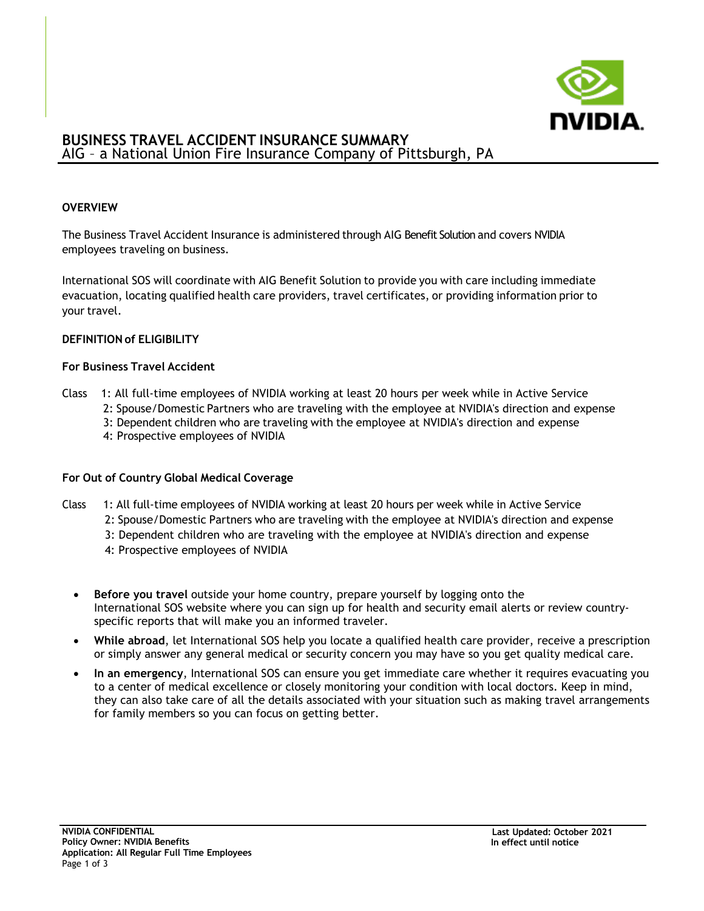

# **BUSINESS TRAVEL ACCIDENT INSURANCE SUMMARY** AIG – a National Union Fire Insurance Company of Pittsburgh, PA

### **OVERVIEW**

The Business Travel Accident Insurance is administered through AIG Benefit Solution and covers NVIDIA employees traveling on business.

International SOS will coordinate with AIG Benefit Solution to provide you with care including immediate evacuation, locating qualified health care providers, travel certificates, or providing information prior to your travel.

### **DEFINITION of ELIGIBILITY**

### **For Business Travel Accident**

- Class 1: All full-time employees of NVIDIA working at least 20 hours per week while in Active Service
	- 2: Spouse/Domestic Partners who are traveling with the employee at NVIDIA's direction and expense
	- 3: Dependent children who are traveling with the employee at NVIDIA's direction and expense
	- 4: Prospective employees of NVIDIA

#### **For Out of Country Global Medical Coverage**

- Class 1: All full-time employees of NVIDIA working at least 20 hours per week while in Active Service
	- 2: Spouse/Domestic Partners who are traveling with the employee at NVIDIA's direction and expense
	- 3: Dependent children who are traveling with the employee at NVIDIA's direction and expense
	- 4: Prospective employees of NVIDIA
	- **Before you travel** outside your home country, prepare yourself by logging onto the International SOS website where you can sign up for health and security email alerts or review countryspecific reports that will make you an informed traveler.
	- **While abroad**, let International SOS help you locate a qualified health care provider, receive a prescription or simply answer any general medical or security concern you may have so you get quality medical care.
	- **In an emergency**, International SOS can ensure you get immediate care whether it requires evacuating you to a center of medical excellence or closely monitoring your condition with local doctors. Keep in mind, they can also take care of all the details associated with your situation such as making travel arrangements for family members so you can focus on getting better.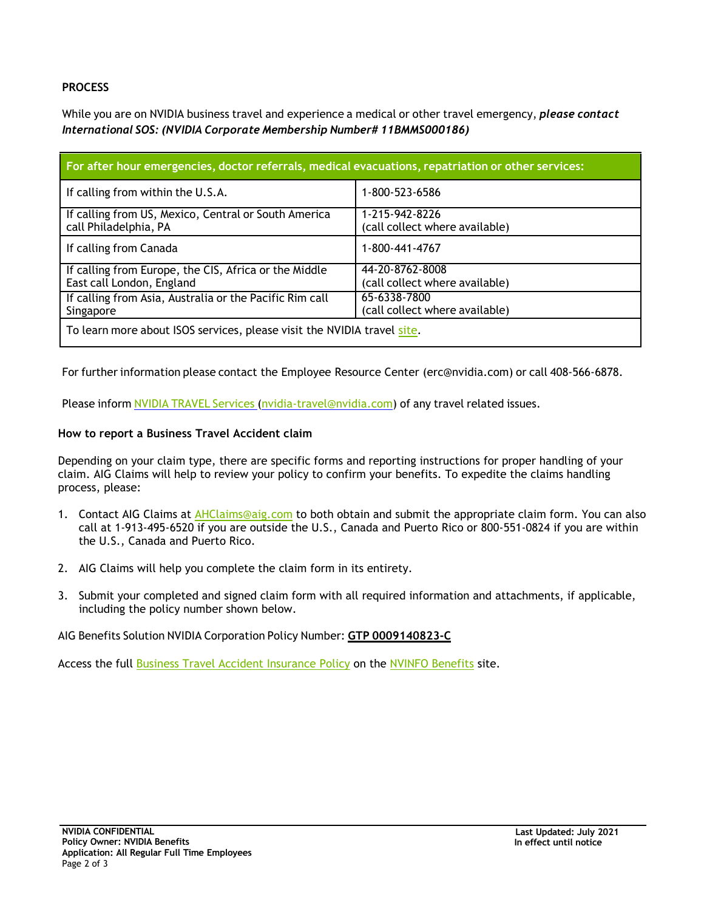# **PROCESS**

While you are on NVIDIA business travel and experience a medical or other travel emergency, *please contact International SOS: (NVIDIA Corporate Membership Number# 11BMMS000186)*

| For after hour emergencies, doctor referrals, medical evacuations, repatriation or other services: |                                                   |  |
|----------------------------------------------------------------------------------------------------|---------------------------------------------------|--|
| If calling from within the U.S.A.                                                                  | 1-800-523-6586                                    |  |
| If calling from US, Mexico, Central or South America<br>call Philadelphia, PA                      | 1-215-942-8226<br>(call collect where available)  |  |
| If calling from Canada                                                                             | 1-800-441-4767                                    |  |
| If calling from Europe, the CIS, Africa or the Middle<br>East call London, England                 | 44-20-8762-8008<br>(call collect where available) |  |
| If calling from Asia, Australia or the Pacific Rim call<br>Singapore                               | 65-6338-7800<br>(call collect where available)    |  |
| To learn more about ISOS services, please visit the NVIDIA travel site.                            |                                                   |  |

For further information please contact the Employee Resource Center (erc@nvidia.com) or call 408-566-6878.

Please inform NVIDIA TRAVEL [Services](mailto:NVIDIA-Travel@nvidia.com) [\(nvidia-travel@nvidia.com\)](mailto:nvidia-travel@nvidia.com) of any travel related issues.

## **How to report a Business Travel Accident claim**

Depending on your claim type, there are specific forms and reporting instructions for proper handling of your claim. AIG Claims will help to review your policy to confirm your benefits. To expedite the claims handling process, please:

- 1. Contact AIG Claims at [AHClaims@aig.com](mailto:AHClaims@aig.com) to both obtain and submit the appropriate claim form. You can also call at 1-913-495-6520 if you are outside the U.S., Canada and Puerto Rico or 800-551-0824 if you are within the U.S., Canada and Puerto Rico.
- 2. AIG Claims will help you complete the claim form in its entirety.
- 3. Submit your completed and signed claim form with all required information and attachments, if applicable, including the policy number shown below.

## AIG Benefits Solution NVIDIA Corporation Policy Number: **GTP 0009140823-C**

Access the full [Business Travel Accident](https://nvidia.sharepoint.com/sites/nvinfo/benefits/Documents/BusinessTravelAccidentInsurancePolicy.pdf) Insurance Policy on the [NVINFO Benefits](https://nvidia.sharepoint.com/sites/nvinfo/benefits) site.